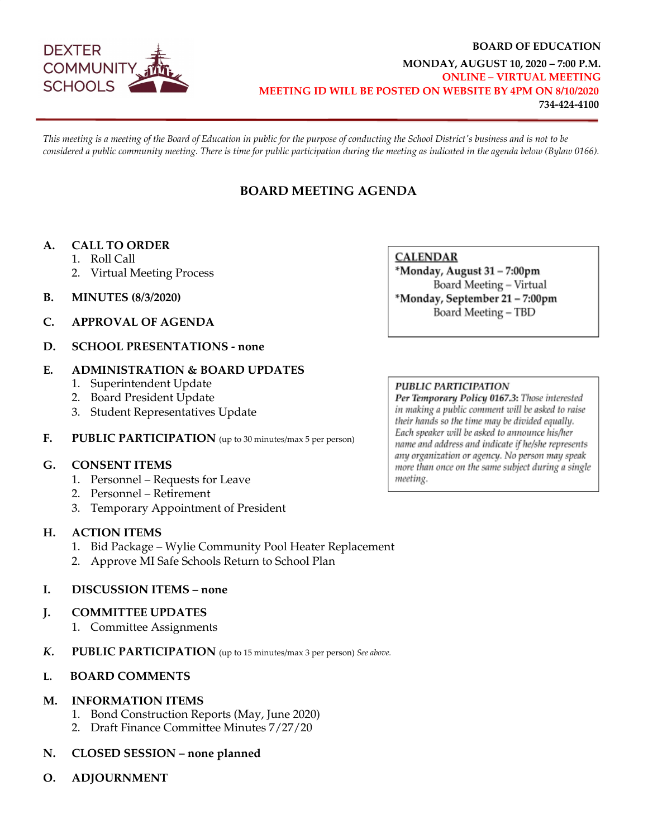

#### **BOARD OF EDUCATION MONDAY, AUGUST 10, 2020 – 7:00 P.M. ONLINE – VIRTUAL MEETING MEETING ID WILL BE POSTED ON WEBSITE BY 4PM ON 8/10/2020 734-424-4100**

*This meeting is a meeting of the Board of Education in public for the purpose of conducting the School District's business and is not to be considered a public community meeting. There is time for public participation during the meeting as indicated in the agenda below (Bylaw 0166).*

# **BOARD MEETING AGENDA**

#### **A. CALL TO ORDER**

- 1. Roll Call
- 2. Virtual Meeting Process
- **B. MINUTES (8/3/2020)**
- **C. APPROVAL OF AGENDA**
- **D. SCHOOL PRESENTATIONS - none**

#### **E. ADMINISTRATION & BOARD UPDATES**

- 1. Superintendent Update
- 2. Board President Update
- 3. Student Representatives Update
- **F. PUBLIC PARTICIPATION** (up to 30 minutes/max 5 per person)

#### **G. CONSENT ITEMS**

- 1. Personnel Requests for Leave
- 2. Personnel Retirement
- 3. Temporary Appointment of President

#### **H. ACTION ITEMS**

- 1. Bid Package Wylie Community Pool Heater Replacement
- 2. Approve MI Safe Schools Return to School Plan

#### **I. DISCUSSION ITEMS – none**

#### **J. COMMITTEE UPDATES**

- 1. Committee Assignments
- *K.* **PUBLIC PARTICIPATION** (up to 15 minutes/max 3 per person) *See above.*

#### **L. BOARD COMMENTS**

#### **M. INFORMATION ITEMS**

- 1. Bond Construction Reports (May, June 2020)
- 2. Draft Finance Committee Minutes 7/27/20

#### **N. CLOSED SESSION – none planned**

**O. ADJOURNMENT**

**CALENDAR** \*Monday, August 31 - 7:00pm Board Meeting - Virtual \*Monday, September 21 - 7:00pm Board Meeting - TBD

#### **PUBLIC PARTICIPATION**

Per Temporary Policy 0167.3: Those interested in making a public comment will be asked to raise their hands so the time may be divided equally. Each speaker will be asked to announce his/her name and address and indicate if he/she represents any organization or agency. No person may speak more than once on the same subject during a single meeting.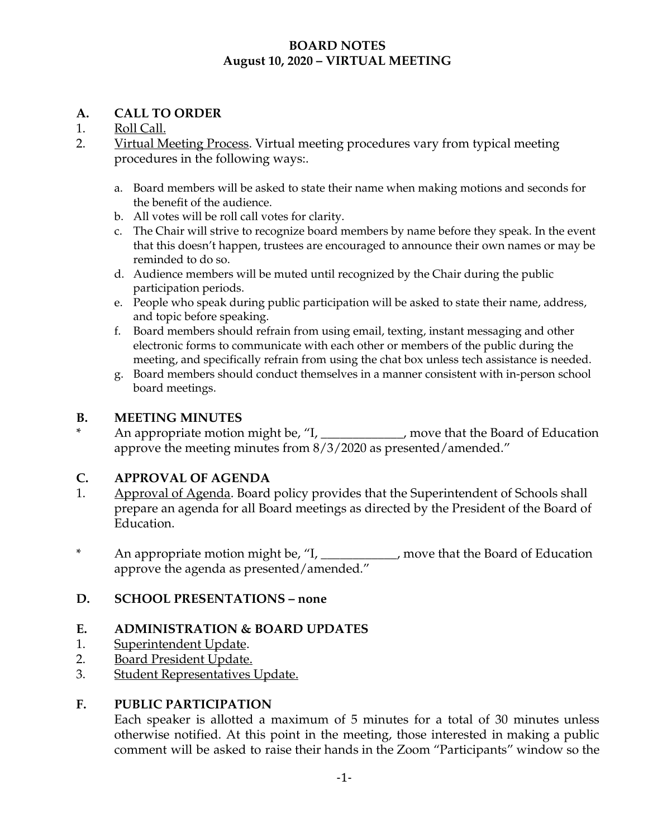# **BOARD NOTES August 10, 2020 – VIRTUAL MEETING**

# **A. CALL TO ORDER**

# 1. Roll Call.

- 2. Virtual Meeting Process. Virtual meeting procedures vary from typical meeting procedures in the following ways:.
	- a. Board members will be asked to state their name when making motions and seconds for the benefit of the audience.
	- b. All votes will be roll call votes for clarity.
	- c. The Chair will strive to recognize board members by name before they speak. In the event that this doesn't happen, trustees are encouraged to announce their own names or may be reminded to do so.
	- d. Audience members will be muted until recognized by the Chair during the public participation periods.
	- e. People who speak during public participation will be asked to state their name, address, and topic before speaking.
	- f. Board members should refrain from using email, texting, instant messaging and other electronic forms to communicate with each other or members of the public during the meeting, and specifically refrain from using the chat box unless tech assistance is needed.
	- g. Board members should conduct themselves in a manner consistent with in-person school board meetings.

#### **B. MEETING MINUTES**

An appropriate motion might be, "I, \_\_\_\_\_\_\_\_\_\_\_, move that the Board of Education approve the meeting minutes from 8/3/2020 as presented/amended."

## **C. APPROVAL OF AGENDA**

- 1. Approval of Agenda. Board policy provides that the Superintendent of Schools shall prepare an agenda for all Board meetings as directed by the President of the Board of Education.
- \* An appropriate motion might be, "I, \_\_\_\_\_\_\_\_\_\_\_\_, move that the Board of Education approve the agenda as presented/amended."

## **D. SCHOOL PRESENTATIONS – none**

## **E. ADMINISTRATION & BOARD UPDATES**

- 1. Superintendent Update.
- 2. Board President Update.
- 3. Student Representatives Update.

## **F. PUBLIC PARTICIPATION**

Each speaker is allotted a maximum of 5 minutes for a total of 30 minutes unless otherwise notified. At this point in the meeting, those interested in making a public comment will be asked to raise their hands in the Zoom "Participants" window so the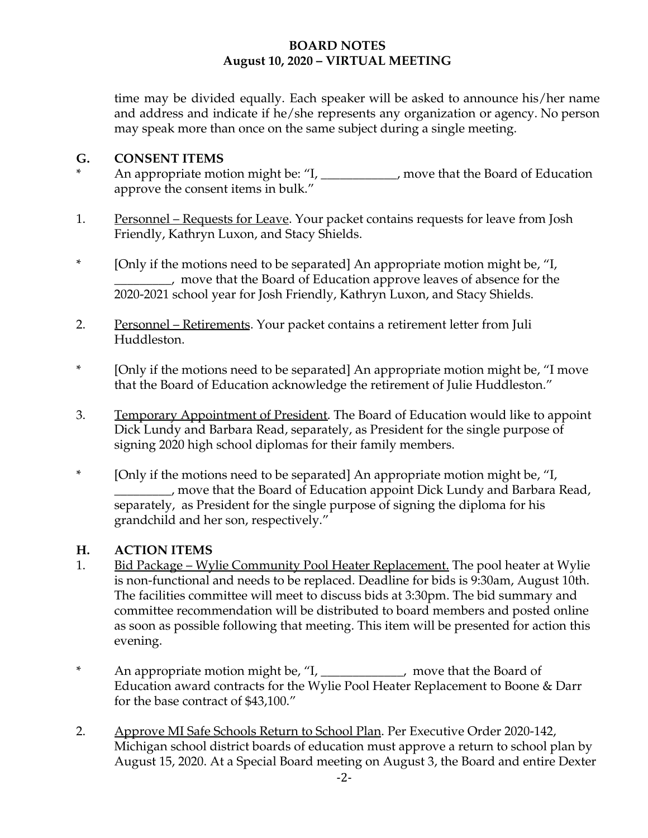# **BOARD NOTES August 10, 2020 – VIRTUAL MEETING**

time may be divided equally. Each speaker will be asked to announce his/her name and address and indicate if he/she represents any organization or agency. No person may speak more than once on the same subject during a single meeting.

## **G. CONSENT ITEMS**

- An appropriate motion might be: "I, \_\_\_\_\_\_\_\_\_\_\_, move that the Board of Education approve the consent items in bulk."
- 1. Personnel Requests for Leave. Your packet contains requests for leave from Josh Friendly, Kathryn Luxon, and Stacy Shields.
- \* [Only if the motions need to be separated] An appropriate motion might be, "I, \_\_\_\_\_\_\_\_\_, move that the Board of Education approve leaves of absence for the 2020-2021 school year for Josh Friendly, Kathryn Luxon, and Stacy Shields.
- 2. Personnel Retirements. Your packet contains a retirement letter from Juli Huddleston.
- \* [Only if the motions need to be separated] An appropriate motion might be, "I move that the Board of Education acknowledge the retirement of Julie Huddleston."
- 3. Temporary Appointment of President. The Board of Education would like to appoint Dick Lundy and Barbara Read, separately, as President for the single purpose of signing 2020 high school diplomas for their family members.
- \* [Only if the motions need to be separated] An appropriate motion might be, "I, \_\_\_\_\_\_\_\_\_, move that the Board of Education appoint Dick Lundy and Barbara Read, separately, as President for the single purpose of signing the diploma for his grandchild and her son, respectively."

## **H. ACTION ITEMS**

- 1. Bid Package Wylie Community Pool Heater Replacement. The pool heater at Wylie is non-functional and needs to be replaced. Deadline for bids is 9:30am, August 10th. The facilities committee will meet to discuss bids at 3:30pm. The bid summary and committee recommendation will be distributed to board members and posted online as soon as possible following that meeting. This item will be presented for action this evening.
- \* An appropriate motion might be, "I, \_\_\_\_\_\_\_\_\_\_\_\_\_, move that the Board of Education award contracts for the Wylie Pool Heater Replacement to Boone & Darr for the base contract of \$43,100."
- 2. Approve MI Safe Schools Return to School Plan. Per Executive Order 2020-142, Michigan school district boards of education must approve a return to school plan by August 15, 2020. At a Special Board meeting on August 3, the Board and entire Dexter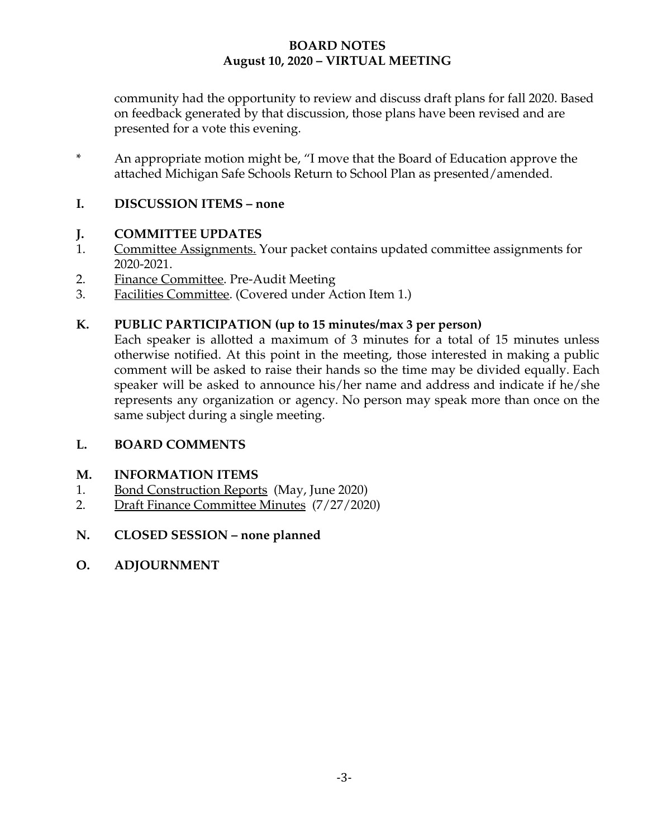# **BOARD NOTES August 10, 2020 – VIRTUAL MEETING**

community had the opportunity to review and discuss draft plans for fall 2020. Based on feedback generated by that discussion, those plans have been revised and are presented for a vote this evening.

\* An appropriate motion might be, "I move that the Board of Education approve the attached Michigan Safe Schools Return to School Plan as presented/amended.

# **I. DISCUSSION ITEMS – none**

## **J. COMMITTEE UPDATES**

- 1. Committee Assignments. Your packet contains updated committee assignments for 2020-2021.
- 2. Finance Committee. Pre-Audit Meeting
- 3. Facilities Committee. (Covered under Action Item 1.)

## **K. PUBLIC PARTICIPATION (up to 15 minutes/max 3 per person)**

Each speaker is allotted a maximum of 3 minutes for a total of 15 minutes unless otherwise notified. At this point in the meeting, those interested in making a public comment will be asked to raise their hands so the time may be divided equally. Each speaker will be asked to announce his/her name and address and indicate if he/she represents any organization or agency. No person may speak more than once on the same subject during a single meeting.

## **L. BOARD COMMENTS**

## **M. INFORMATION ITEMS**

- 1. Bond Construction Reports (May, June 2020)
- 2. Draft Finance Committee Minutes (7/27/2020)
- **N. CLOSED SESSION none planned**
- **O. ADJOURNMENT**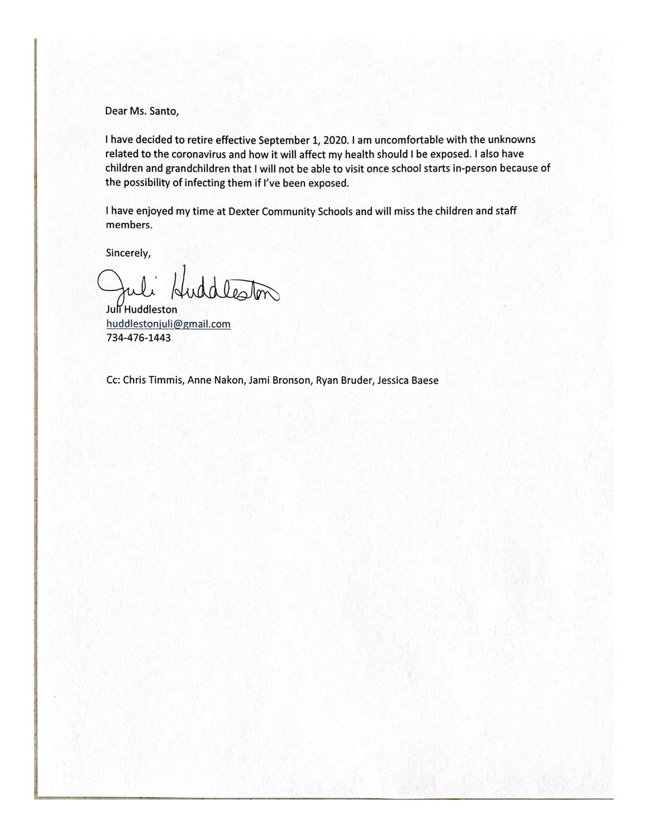Dear Ms. Santo,

I have decided to retire effective September 1, 2020. I am uncomfortable with the unknowns related to the coronavirus and how it will affect my health should I be exposed. I also have children and grandchildren that I will not be able to visit once school starts in-person because of the possibility of infecting them if I've been exposed.

I have enjoyed my time at Dexter Community Schools and will miss the children and staff members.

Sincerely,

ddocton

Juli Huddleston huddlestonjuli@gmail.com 734-476-1443

Cc: Chris Timmis, Anne Nakon, Jami Bronson, Ryan Bruder, Jessica Baese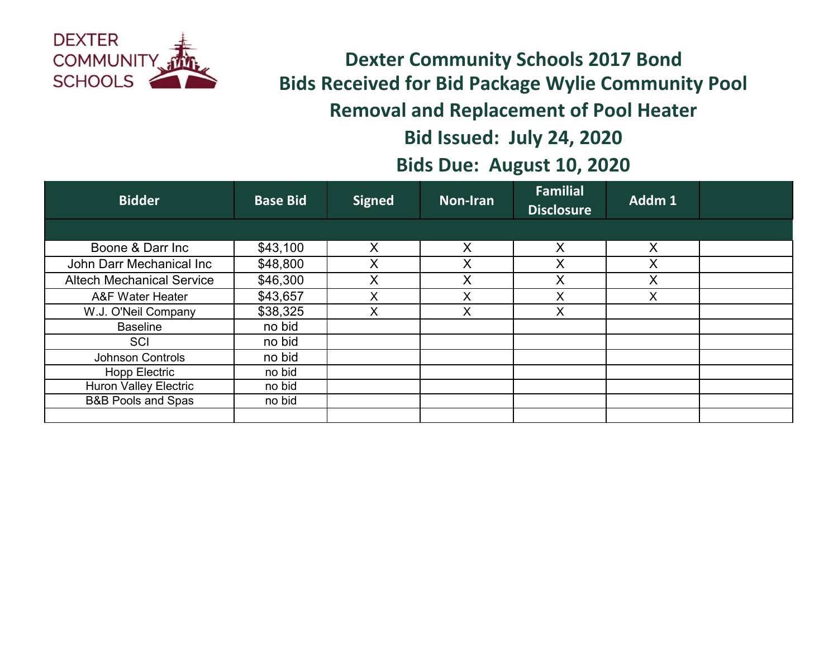

**Dexter Community Schools 2017 Bond Bids Received for Bid Package Wylie Community Pool Removal and Replacement of Pool Heater Bid Issued: July 24, 2020 Bids Due: August 10, 2020**

| <b>Bidder</b>                    | <b>Base Bid</b> | <b>Signed</b> | <b>Non-Iran</b> | <b>Familial</b><br><b>Disclosure</b> | Addm 1 |  |
|----------------------------------|-----------------|---------------|-----------------|--------------------------------------|--------|--|
|                                  |                 |               |                 |                                      |        |  |
| Boone & Darr Inc                 | \$43,100        | X             | X               | X                                    | X      |  |
| John Darr Mechanical Inc         | \$48,800        | X             | X               | X                                    |        |  |
| <b>Altech Mechanical Service</b> | \$46,300        | X             | X               | Χ                                    |        |  |
| A&F Water Heater                 | \$43,657        |               | X               | X                                    |        |  |
| W.J. O'Neil Company              | \$38,325        | X             | X               | $\times$                             |        |  |
| <b>Baseline</b>                  | no bid          |               |                 |                                      |        |  |
| SCI                              | no bid          |               |                 |                                      |        |  |
| Johnson Controls                 | no bid          |               |                 |                                      |        |  |
| <b>Hopp Electric</b>             | no bid          |               |                 |                                      |        |  |
| <b>Huron Valley Electric</b>     | no bid          |               |                 |                                      |        |  |
| <b>B&amp;B Pools and Spas</b>    | no bid          |               |                 |                                      |        |  |
|                                  |                 |               |                 |                                      |        |  |